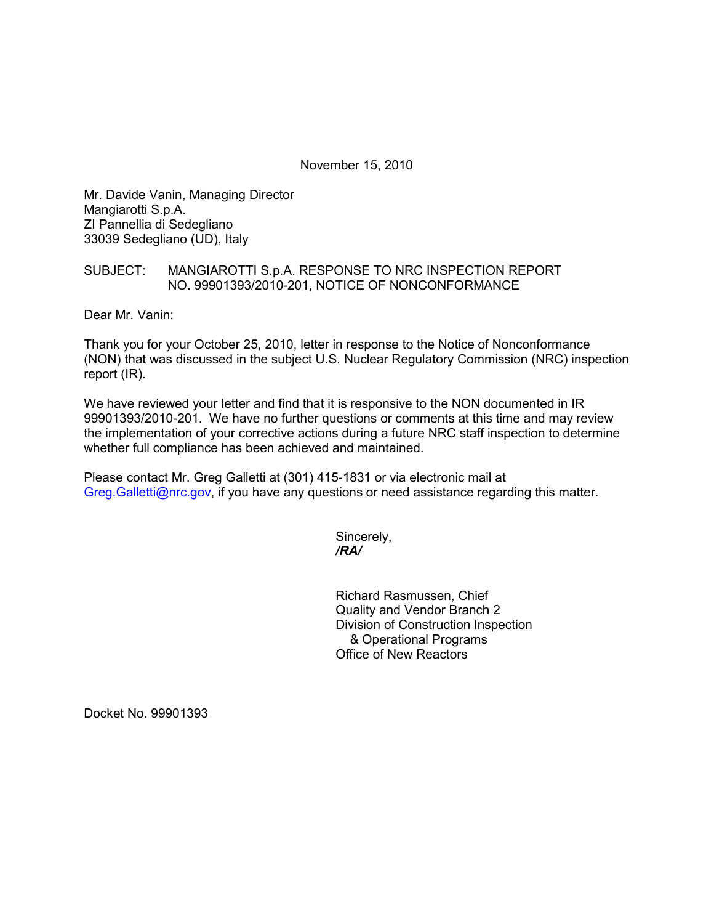November 15, 2010

Mr. Davide Vanin, Managing Director Mangiarotti S.p.A. ZI Pannellia di Sedegliano 33039 Sedegliano (UD), Italy

## SUBJECT: MANGIAROTTI S.p.A. RESPONSE TO NRC INSPECTION REPORT NO. 99901393/2010-201, NOTICE OF NONCONFORMANCE

Dear Mr. Vanin:

Thank you for your October 25, 2010, letter in response to the Notice of Nonconformance (NON) that was discussed in the subject U.S. Nuclear Regulatory Commission (NRC) inspection report (IR).

We have reviewed your letter and find that it is responsive to the NON documented in IR 99901393/2010-201. We have no further questions or comments at this time and may review the implementation of your corrective actions during a future NRC staff inspection to determine whether full compliance has been achieved and maintained.

Please contact Mr. Greg Galletti at (301) 415-1831 or via electronic mail at Greg.Galletti@nrc.gov, if you have any questions or need assistance regarding this matter.

Sincerely,  */RA/* 

> Richard Rasmussen, Chief Quality and Vendor Branch 2 Division of Construction Inspection & Operational Programs Office of New Reactors

Docket No. 99901393